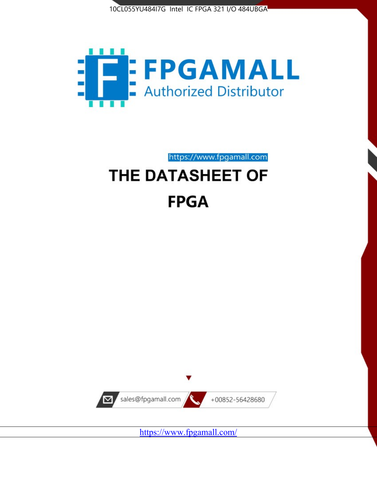



https://www.fpgamall.com

# THE DATASHEET OF **FPGA**



https://www.fpgamall.com/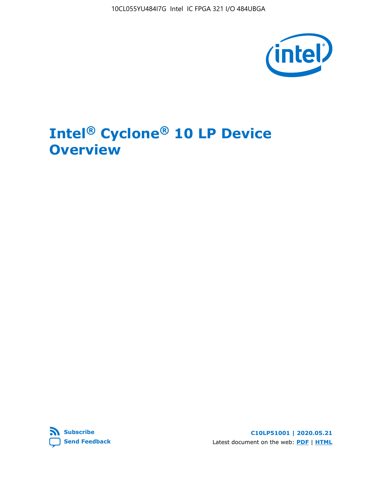10CL055YU484I7G Intel IC FPGA 321 I/O 484UBGA



# **Intel® Cyclone® 10 LP Device Overview**



**C10LP51001 | 2020.05.21** Latest document on the web: **[PDF](https://www.intel.com/content/dam/www/programmable/us/en/pdfs/literature/hb/cyclone-10/c10lp-51001.pdf)** | **[HTML](https://www.intel.com/content/www/us/en/programmable/documentation/hci1490246873896.html)**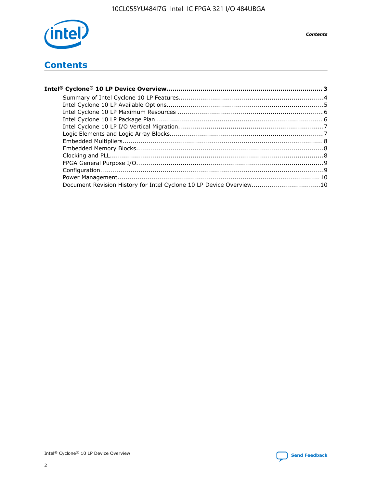

**Contents** 

## **Contents**

| Document Revision History for Intel Cyclone 10 LP Device Overview10 |  |
|---------------------------------------------------------------------|--|

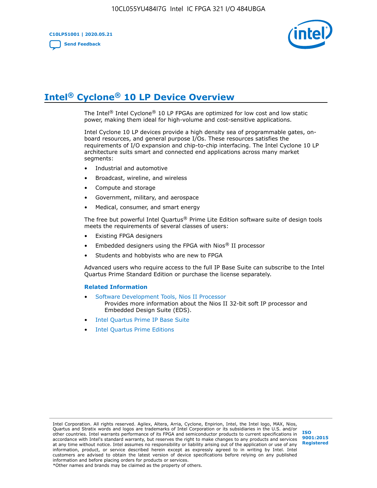

# **Intel® Cyclone® 10 LP Device Overview**

The Intel® Intel Cyclone® 10 LP FPGAs are optimized for low cost and low static power, making them ideal for high-volume and cost-sensitive applications.

Intel Cyclone 10 LP devices provide a high density sea of programmable gates, onboard resources, and general purpose I/Os. These resources satisfies the requirements of I/O expansion and chip-to-chip interfacing. The Intel Cyclone 10 LP architecture suits smart and connected end applications across many market segments:

- Industrial and automotive
- Broadcast, wireline, and wireless
- Compute and storage
- Government, military, and aerospace
- Medical, consumer, and smart energy

The free but powerful Intel Quartus® Prime Lite Edition software suite of design tools meets the requirements of several classes of users:

- Existing FPGA designers
- Embedded designers using the FPGA with Nios® II processor
- Students and hobbyists who are new to FPGA

Advanced users who require access to the full IP Base Suite can subscribe to the Intel Quartus Prime Standard Edition or purchase the license separately.

#### **Related Information**

- [Software Development Tools, Nios II Processor](https://www.altera.com/products/processors/design-tools.html) Provides more information about the Nios II 32-bit soft IP processor and Embedded Design Suite (EDS).
- [Intel Quartus Prime IP Base Suite](https://www.altera.com/products/intellectual-property/design/ip-base-suite.html)
- **[Intel Quartus Prime Editions](https://www.altera.com/products/design-software/fpga-design/quartus-prime/download.html)**

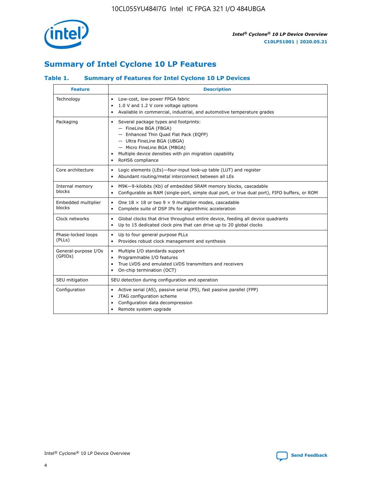

## **Summary of Intel Cyclone 10 LP Features**

## **Table 1. Summary of Features for Intel Cyclone 10 LP Devices**

| <b>Feature</b>                  | <b>Description</b>                                                                                                                                                                                                                                        |
|---------------------------------|-----------------------------------------------------------------------------------------------------------------------------------------------------------------------------------------------------------------------------------------------------------|
| Technology                      | Low-cost, low-power FPGA fabric<br>٠<br>1.0 V and 1.2 V core voltage options<br>Available in commercial, industrial, and automotive temperature grades                                                                                                    |
| Packaging                       | Several package types and footprints:<br>٠<br>- FineLine BGA (FBGA)<br>- Enhanced Thin Quad Flat Pack (EQFP)<br>- Ultra FineLine BGA (UBGA)<br>- Micro FineLine BGA (MBGA)<br>Multiple device densities with pin migration capability<br>RoHS6 compliance |
| Core architecture               | Logic elements (LEs)-four-input look-up table (LUT) and register<br>$\bullet$<br>Abundant routing/metal interconnect between all LEs<br>$\bullet$                                                                                                         |
| Internal memory<br>blocks       | M9K-9-kilobits (Kb) of embedded SRAM memory blocks, cascadable<br>$\bullet$<br>Configurable as RAM (single-port, simple dual port, or true dual port), FIFO buffers, or ROM<br>٠                                                                          |
| Embedded multiplier<br>blocks   | One 18 $\times$ 18 or two 9 $\times$ 9 multiplier modes, cascadable<br>$\bullet$<br>Complete suite of DSP IPs for algorithmic acceleration<br>٠                                                                                                           |
| Clock networks                  | Global clocks that drive throughout entire device, feeding all device quadrants<br>٠<br>Up to 15 dedicated clock pins that can drive up to 20 global clocks                                                                                               |
| Phase-locked loops<br>(PLLs)    | Up to four general purpose PLLs<br>$\bullet$<br>Provides robust clock management and synthesis<br>٠                                                                                                                                                       |
| General-purpose I/Os<br>(GPIOs) | Multiple I/O standards support<br>$\bullet$<br>Programmable I/O features<br>$\bullet$<br>True LVDS and emulated LVDS transmitters and receivers<br>٠<br>On-chip termination (OCT)                                                                         |
| SEU mitigation                  | SEU detection during configuration and operation                                                                                                                                                                                                          |
| Configuration                   | Active serial (AS), passive serial (PS), fast passive parallel (FPP)<br>$\bullet$<br>JTAG configuration scheme<br>٠<br>Configuration data decompression<br>Remote system upgrade<br>٠                                                                     |

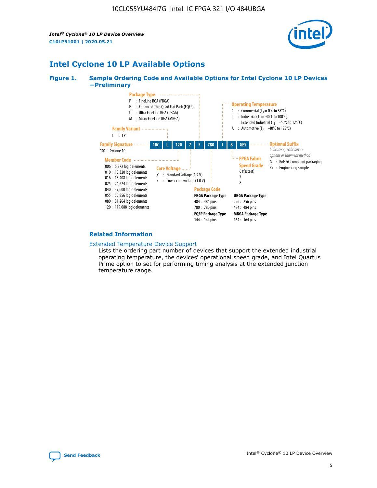*Intel® Cyclone® 10 LP Device Overview* **C10LP51001 | 2020.05.21**



## **Intel Cyclone 10 LP Available Options**

#### **Figure 1. Sample Ordering Code and Available Options for Intel Cyclone 10 LP Devices —Preliminary**



#### **Related Information**

#### [Extended Temperature Device Support](https://www.intel.com/content/www/us/en/products/programmable/temperature.html)

Lists the ordering part number of devices that support the extended industrial operating temperature, the devices' operational speed grade, and Intel Quartus Prime option to set for performing timing analysis at the extended junction temperature range.

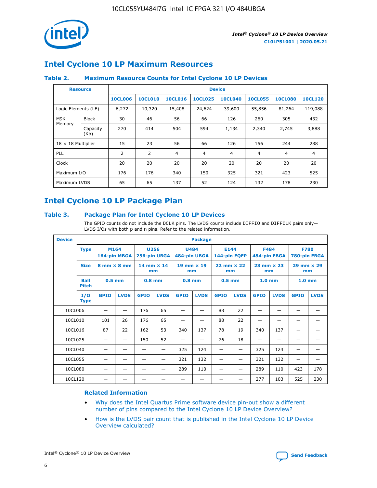

## **Intel Cyclone 10 LP Maximum Resources**

### **Table 2. Maximum Resource Counts for Intel Cyclone 10 LP Devices**

|                           | <b>Resource</b>  | <b>Device</b>  |                |                |                |                |                |                |                |
|---------------------------|------------------|----------------|----------------|----------------|----------------|----------------|----------------|----------------|----------------|
|                           |                  | <b>10CL006</b> | <b>10CL010</b> | <b>10CL016</b> | <b>10CL025</b> | <b>10CL040</b> | <b>10CL055</b> | <b>10CL080</b> | <b>10CL120</b> |
| Logic Elements (LE)       |                  | 6,272          | 10,320         | 15,408         | 24,624         | 39,600         | 55,856         | 81,264         | 119,088        |
| M9K                       | <b>Block</b>     | 30             | 46             | 56             | 66             | 126            | 260            | 305            | 432            |
| Memory                    | Capacity<br>(Kb) | 270            | 414            | 504            | 594            | 1,134          | 2,340          | 2,745          | 3,888          |
| $18 \times 18$ Multiplier |                  | 15             | 23             | 56             | 66             | 126            | 156            | 244            | 288            |
| <b>PLL</b>                |                  | 2              | 2              | 4              | 4              | $\overline{4}$ | 4              | $\overline{4}$ | 4              |
| Clock                     |                  | 20             | 20             | 20             | 20             | 20             | 20             | 20             | 20             |
| Maximum I/O               |                  | 176            | 176            | 340            | 150            | 325            | 321            | 423            | 525            |
| Maximum LVDS              |                  | 65             | 65             | 137            | 52             | 124            | 132            | 178            | 230            |

## **Intel Cyclone 10 LP Package Plan**

#### **Table 3. Package Plan for Intel Cyclone 10 LP Devices**

The GPIO counts do not include the DCLK pins. The LVDS counts include DIFFIO and DIFFCLK pairs only-LVDS I/Os with both p and n pins. Refer to the related information.

| <b>Device</b> | <b>Package</b>                                    |             |              |                                                        |                             |                           |                      |                           |             |                           |                             |                   |             |
|---------------|---------------------------------------------------|-------------|--------------|--------------------------------------------------------|-----------------------------|---------------------------|----------------------|---------------------------|-------------|---------------------------|-----------------------------|-------------------|-------------|
|               | M164<br><b>Type</b><br>164-pin MBGA               |             | 256-pin UBGA | <b>U256</b>                                            | <b>U484</b><br>484-pin UBGA |                           | E144<br>144-pin EQFP |                           | <b>F484</b> | 484-pin FBGA              | <b>F780</b><br>780-pin FBGA |                   |             |
|               | <b>Size</b><br>$8 \text{ mm} \times 8 \text{ mm}$ |             |              | $14$ mm $\times$ 14<br>$19$ mm $\times$ 19<br>mm<br>mm |                             | $22$ mm $\times$ 22<br>mm |                      | $23$ mm $\times$ 23<br>mm |             | $29$ mm $\times$ 29<br>mm |                             |                   |             |
|               | <b>Ball</b><br><b>Pitch</b>                       | $0.5$ mm    |              | $0.8$ mm                                               |                             | $0.8$ mm                  |                      | $0.5$ mm                  |             | 1.0 <sub>mm</sub>         |                             | 1.0 <sub>mm</sub> |             |
|               | I/O<br><b>Type</b>                                | <b>GPIO</b> | <b>LVDS</b>  | <b>GPIO</b>                                            | <b>LVDS</b>                 | <b>GPIO</b>               | <b>LVDS</b>          | <b>GPIO</b>               | <b>LVDS</b> | <b>GPIO</b>               | <b>LVDS</b>                 | <b>GPIO</b>       | <b>LVDS</b> |
| 10CL006       |                                                   |             |              | 176                                                    | 65                          |                           |                      | 88                        | 22          |                           |                             |                   |             |
| 10CL010       |                                                   | 101         | 26           | 176                                                    | 65                          |                           |                      | 88                        | 22          |                           |                             |                   |             |
| 10CL016       |                                                   | 87          | 22           | 162                                                    | 53                          | 340                       | 137                  | 78                        | 19          | 340                       | 137                         |                   |             |
| 10CL025       |                                                   | —           | —            | 150                                                    | 52                          | —                         |                      | 76                        | 18          | -                         | —                           |                   |             |
| 10CL040       |                                                   |             |              |                                                        |                             | 325                       | 124                  |                           |             | 325                       | 124                         |                   |             |
| 10CL055       |                                                   |             |              |                                                        |                             | 321                       | 132                  |                           |             | 321                       | 132                         |                   |             |
| 10CL080       |                                                   |             |              |                                                        |                             | 289                       | 110                  |                           |             | 289                       | 110                         | 423               | 178         |
| 10CL120       |                                                   |             |              |                                                        |                             |                           |                      |                           |             | 277                       | 103                         | 525               | 230         |

### **Related Information**

- [Why does the Intel Quartus Prime software device pin-out show a different](https://www.intel.com/content/altera-www/global/en_us/index/support/support-resources/knowledge-base/component/2020/why-does-intel--quartus--device-pinout-pin-count-shows-a-differe0.html) [number of pins compared to the Intel Cyclone 10 LP Device Overview?](https://www.intel.com/content/altera-www/global/en_us/index/support/support-resources/knowledge-base/component/2020/why-does-intel--quartus--device-pinout-pin-count-shows-a-differe0.html)
- [How is the LVDS pair count that is published in the Intel Cyclone 10 LP Device](https://www.intel.com/content/altera-www/global/en_us/index/support/support-resources/knowledge-base/component/2020/how-is-the-lvds-pair-count-in-intel--cyclone--10-device-overview.html) [Overview calculated?](https://www.intel.com/content/altera-www/global/en_us/index/support/support-resources/knowledge-base/component/2020/how-is-the-lvds-pair-count-in-intel--cyclone--10-device-overview.html)



Intel<sup>®</sup> Cyclone<sup>®</sup> 10 LP Device Overview **[Send Feedback](mailto:FPGAtechdocfeedback@intel.com?subject=Feedback%20on%20Intel%20Cyclone%2010%20LP%20Device%20Overview%20(C10LP51001%202020.05.21)&body=We%20appreciate%20your%20feedback.%20In%20your%20comments,%20also%20specify%20the%20page%20number%20or%20paragraph.%20Thank%20you.)** Send Feedback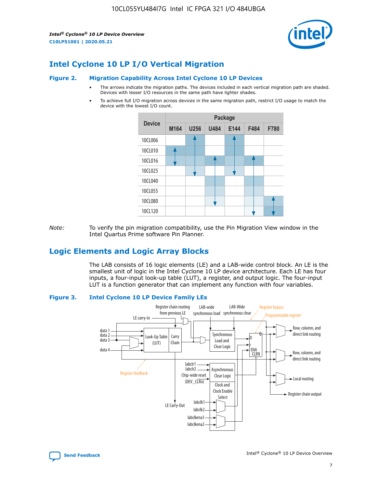*Intel® Cyclone® 10 LP Device Overview* **C10LP51001 | 2020.05.21**



## **Intel Cyclone 10 LP I/O Vertical Migration**

#### **Figure 2. Migration Capability Across Intel Cyclone 10 LP Devices**

- The arrows indicate the migration paths. The devices included in each vertical migration path are shaded. Devices with lesser I/O resources in the same path have lighter shades.
- To achieve full I/O migration across devices in the same migration path, restrict I/O usage to match the device with the lowest I/O count.



*Note:* To verify the pin migration compatibility, use the Pin Migration View window in the Intel Quartus Prime software Pin Planner.

## **Logic Elements and Logic Array Blocks**

The LAB consists of 16 logic elements (LE) and a LAB-wide control block. An LE is the smallest unit of logic in the Intel Cyclone 10 LP device architecture. Each LE has four inputs, a four-input look-up table (LUT), a register, and output logic. The four-input LUT is a function generator that can implement any function with four variables.

#### **Figure 3. Intel Cyclone 10 LP Device Family LEs**



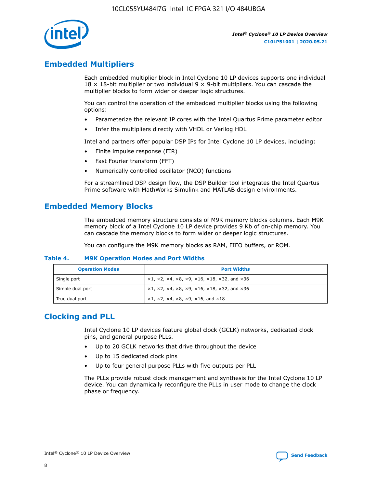

## **Embedded Multipliers**

Each embedded multiplier block in Intel Cyclone 10 LP devices supports one individual  $18 \times 18$ -bit multiplier or two individual 9  $\times$  9-bit multipliers. You can cascade the multiplier blocks to form wider or deeper logic structures.

You can control the operation of the embedded multiplier blocks using the following options:

- Parameterize the relevant IP cores with the Intel Quartus Prime parameter editor
- Infer the multipliers directly with VHDL or Verilog HDL

Intel and partners offer popular DSP IPs for Intel Cyclone 10 LP devices, including:

- Finite impulse response (FIR)
- Fast Fourier transform (FFT)
- Numerically controlled oscillator (NCO) functions

For a streamlined DSP design flow, the DSP Builder tool integrates the Intel Quartus Prime software with MathWorks Simulink and MATLAB design environments.

## **Embedded Memory Blocks**

The embedded memory structure consists of M9K memory blocks columns. Each M9K memory block of a Intel Cyclone 10 LP device provides 9 Kb of on-chip memory. You can cascade the memory blocks to form wider or deeper logic structures.

You can configure the M9K memory blocks as RAM, FIFO buffers, or ROM.

#### **Table 4. M9K Operation Modes and Port Widths**

| <b>Operation Modes</b> | <b>Port Widths</b>                           |
|------------------------|----------------------------------------------|
| Single port            | $x1, x2, x4, x8, x9, x16, x18, x32, and x36$ |
| Simple dual port       | $x1, x2, x4, x8, x9, x16, x18, x32, and x36$ |
| True dual port         | x1, x2, x4, x8, x9, x16, and x18             |

## **Clocking and PLL**

Intel Cyclone 10 LP devices feature global clock (GCLK) networks, dedicated clock pins, and general purpose PLLs.

- Up to 20 GCLK networks that drive throughout the device
- Up to 15 dedicated clock pins
- Up to four general purpose PLLs with five outputs per PLL

The PLLs provide robust clock management and synthesis for the Intel Cyclone 10 LP device. You can dynamically reconfigure the PLLs in user mode to change the clock phase or frequency.

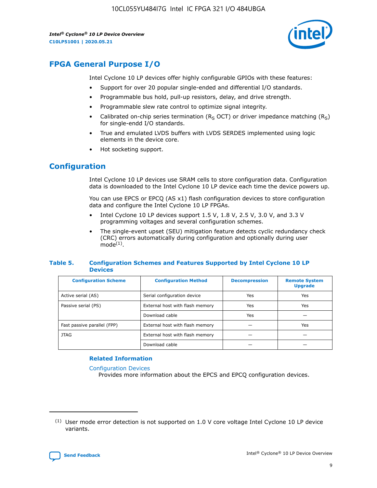10CL055YU484I7G Intel IC FPGA 321 I/O 484UBGA

*Intel® Cyclone® 10 LP Device Overview* **C10LP51001 | 2020.05.21**



## **FPGA General Purpose I/O**

Intel Cyclone 10 LP devices offer highly configurable GPIOs with these features:

- Support for over 20 popular single-ended and differential I/O standards.
- Programmable bus hold, pull-up resistors, delay, and drive strength.
- Programmable slew rate control to optimize signal integrity.
- Calibrated on-chip series termination ( $R<sub>S</sub>$  OCT) or driver impedance matching ( $R<sub>S</sub>$ ) for single-endd I/O standards.
- True and emulated LVDS buffers with LVDS SERDES implemented using logic elements in the device core.
- Hot socketing support.

## **Configuration**

Intel Cyclone 10 LP devices use SRAM cells to store configuration data. Configuration data is downloaded to the Intel Cyclone 10 LP device each time the device powers up.

You can use EPCS or EPCQ (AS x1) flash configuration devices to store configuration data and configure the Intel Cyclone 10 LP FPGAs.

- Intel Cyclone 10 LP devices support 1.5 V, 1.8 V, 2.5 V, 3.0 V, and 3.3 V programming voltages and several configuration schemes.
- The single-event upset (SEU) mitigation feature detects cyclic redundancy check (CRC) errors automatically during configuration and optionally during user  $mode<sup>(1)</sup>$ .

#### **Table 5. Configuration Schemes and Features Supported by Intel Cyclone 10 LP Devices**

| <b>Configuration Scheme</b> | <b>Configuration Method</b>     | <b>Decompression</b> | <b>Remote System</b><br><b>Upgrade</b> |  |
|-----------------------------|---------------------------------|----------------------|----------------------------------------|--|
| Active serial (AS)          | Serial configuration device     | Yes                  | Yes                                    |  |
| Passive serial (PS)         | External host with flash memory | Yes                  | Yes                                    |  |
|                             | Download cable                  | Yes                  |                                        |  |
| Fast passive parallel (FPP) | External host with flash memory |                      | Yes                                    |  |
| JTAG                        | External host with flash memory |                      |                                        |  |
|                             | Download cable                  |                      |                                        |  |

#### **Related Information**

[Configuration Devices](https://www.altera.com/products/configuration-devices/overview.html)

Provides more information about the EPCS and EPCQ configuration devices.

 $(1)$  User mode error detection is not supported on 1.0 V core voltage Intel Cyclone 10 LP device variants.

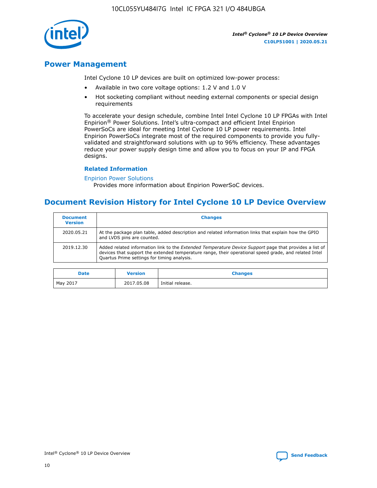

*Intel® Cyclone® 10 LP Device Overview* **C10LP51001 | 2020.05.21**

## **Power Management**

Intel Cyclone 10 LP devices are built on optimized low-power process:

- Available in two core voltage options: 1.2 V and 1.0 V
- Hot socketing compliant without needing external components or special design requirements

To accelerate your design schedule, combine Intel Intel Cyclone 10 LP FPGAs with Intel Enpirion® Power Solutions. Intel's ultra-compact and efficient Intel Enpirion PowerSoCs are ideal for meeting Intel Cyclone 10 LP power requirements. Intel Enpirion PowerSoCs integrate most of the required components to provide you fullyvalidated and straightforward solutions with up to 96% efficiency. These advantages reduce your power supply design time and allow you to focus on your IP and FPGA designs.

#### **Related Information**

#### [Enpirion Power Solutions](https://www.altera.com/products/power/devices.html)

Provides more information about Enpirion PowerSoC devices.

## **Document Revision History for Intel Cyclone 10 LP Device Overview**

| <b>Document</b><br><b>Version</b> | <b>Changes</b>                                                                                                                                                                                                                                                        |
|-----------------------------------|-----------------------------------------------------------------------------------------------------------------------------------------------------------------------------------------------------------------------------------------------------------------------|
| 2020.05.21                        | At the package plan table, added description and related information links that explain how the GPIO<br>and LVDS pins are counted.                                                                                                                                    |
| 2019.12.30                        | Added related information link to the <i>Extended Temperature Device Support</i> page that provides a list of<br>devices that support the extended temperature range, their operational speed grade, and related Intel<br>Quartus Prime settings for timing analysis. |

| <b>Date</b> | <b>Version</b> | <b>Changes</b>   |
|-------------|----------------|------------------|
| May 2017    | 2017.05.08     | Initial release. |